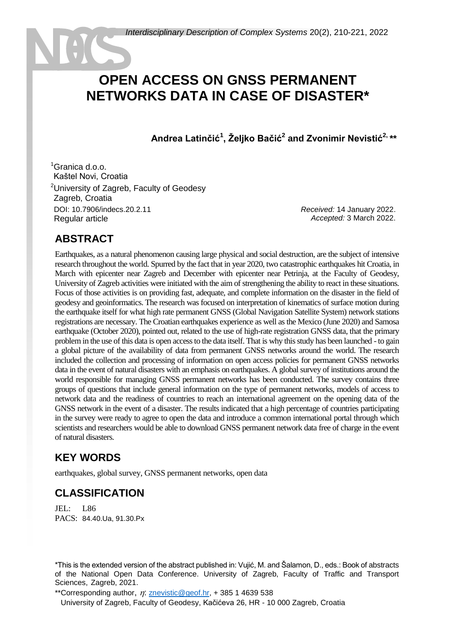# **OPEN ACCESS ON GNSS PERMANENT NETWORKS DATA IN CASE OF DISASTER\***

**Andrea Latinčić<sup>1</sup> , Željko Bačić<sup>2</sup> and Zvonimir Nevistić2, \*\***

 $1$ Granica d.o.o. <sup>1</sup>Kaštel Novi, Croatia <sup>2</sup>University of Zagreb, Faculty of Geodesy Zagreb, Croatia DOI: 10.7906/indecs.20.2.11 Regular article

*Received:* 14 January 2022. *Accepted:* 3 March 2022.

# **ABSTRACT**

Earthquakes, as a natural phenomenon causing large physical and social destruction, are the subject of intensive research throughout the world. Spurred by the fact that in year 2020, two catastrophic earthquakes hit Croatia, in March with epicenter near Zagreb and December with epicenter near Petrinja, at the Faculty of Geodesy, University of Zagreb activities were initiated with the aim of strengthening the ability to react in these situations. Focus of those activities is on providing fast, adequate, and complete information on the disaster in the field of geodesy and geoinformatics. The research was focused on interpretation of kinematics of surface motion during the earthquake itself for what high rate permanent GNSS (Global Navigation Satellite System) network stations registrations are necessary. The Croatian earthquakes experience as well as the Mexico (June 2020) and Samosa earthquake (October 2020), pointed out, related to the use of high-rate registration GNSS data, that the primary problem in the use of this data is open access to the data itself. That is why this study has been launched - to gain a global picture of the availability of data from permanent GNSS networks around the world. The research included the collection and processing of information on open access policies for permanent GNSS networks data in the event of natural disasters with an emphasis on earthquakes. A global survey of institutions around the world responsible for managing GNSS permanent networks has been conducted. The survey contains three groups of questions that include general information on the type of permanent networks, models of access to network data and the readiness of countries to reach an international agreement on the opening data of the GNSS network in the event of a disaster. The results indicated that a high percentage of countries participating in the survey were ready to agree to open the data and introduce a common international portal through which scientists and researchers would be able to download GNSS permanent network data free of charge in the event of natural disasters.

# **KEY WORDS**

earthquakes, global survey, GNSS permanent networks, open data

# **CLASSIFICATION**

JEL: L86 PACS: 84.40.Ua, 91.30.Px

\*This is the extended version of the abstract published in: Vujić, M. and Šalamon, D., eds.: Book of abstracts of the National Open Data Conference. University of Zagreb, Faculty of Traffic and Transport Sciences, Zagreb, 2021.

\*\*Corresponding author,  $\eta$ : [znevistic@geof.hr,](mailto:znevistic@geof.hr) + 385 1 4639 538

University of Zagreb, Faculty of Geodesy, Kačićeva 26, HR - 10 000 Zagreb, Croatia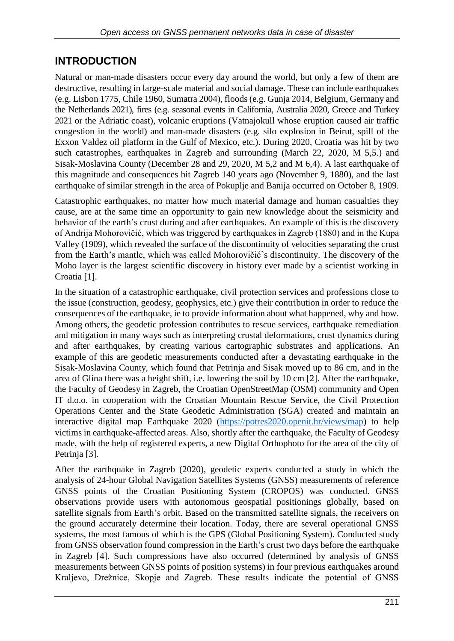#### **INTRODUCTION**

Natural or man-made disasters occur every day around the world, but only a few of them are destructive, resulting in large-scale material and social damage. These can include earthquakes (e.g. Lisbon 1775, Chile 1960, Sumatra 2004), floods (e.g. Gunja 2014, Belgium, Germany and the Netherlands 2021), fires (e.g. seasonal events in California, Australia 2020, Greece and Turkey 2021 or the Adriatic coast), volcanic eruptions (Vatnajokull whose eruption caused air traffic congestion in the world) and man-made disasters (e.g. silo explosion in Beirut, spill of the Exxon Valdez oil platform in the Gulf of Mexico, etc.). During 2020, Croatia was hit by two such catastrophes, earthquakes in Zagreb and surrounding (March 22, 2020, M 5,5.) and Sisak-Moslavina County (December 28 and 29, 2020, M 5,2 and M 6,4). A last earthquake of this magnitude and consequences hit Zagreb 140 years ago (November 9, 1880), and the last earthquake of similar strength in the area of Pokuplje and Banija occurred on October 8, 1909.

Catastrophic earthquakes, no matter how much material damage and human casualties they cause, are at the same time an opportunity to gain new knowledge about the seismicity and behavior of the earth's crust during and after earthquakes. An example of this is the discovery of Andrija Mohorovičić, which was triggered by earthquakes in Zagreb (1880) and in the Kupa Valley (1909), which revealed the surface of the discontinuity of velocities separating the crust from the Earth's mantle, which was called Mohorovičić`s discontinuity. The discovery of the Moho layer is the largest scientific discovery in history ever made by a scientist working in Croatia [1].

In the situation of a catastrophic earthquake, civil protection services and professions close to the issue (construction, geodesy, geophysics, etc.) give their contribution in order to reduce the consequences of the earthquake, ie to provide information about what happened, why and how. Among others, the geodetic profession contributes to rescue services, earthquake remediation and mitigation in many ways such as interpreting crustal deformations, crust dynamics during and after earthquakes, by creating various cartographic substrates and applications. An example of this are geodetic measurements conducted after a devastating earthquake in the Sisak-Moslavina County, which found that Petrinja and Sisak moved up to 86 cm, and in the area of Glina there was a height shift, i.e. lowering the soil by 10 cm [2]. After the earthquake, the Faculty of Geodesy in Zagreb, the Croatian OpenStreetMap (OSM) community and Open IT d.o.o. in cooperation with the Croatian Mountain Rescue Service, the Civil Protection Operations Center and the State Geodetic Administration (SGA) created and maintain an interactive digital map Earthquake 2020 [\(https://potres2020.openit.hr/views/map\)](https://potres2020.openit.hr/views/map) to help victims in earthquake-affected areas. Also, shortly after the earthquake, the Faculty of Geodesy made, with the help of registered experts, a new Digital Orthophoto for the area of the city of Petrinja [3].

After the earthquake in Zagreb (2020), geodetic experts conducted a study in which the analysis of 24-hour Global Navigation Satellites Systems (GNSS) measurements of reference GNSS points of the Croatian Positioning System (CROPOS) was conducted. GNSS observations provide users with autonomous geospatial positionings globally, based on satellite signals from Earth's orbit. Based on the transmitted satellite signals, the receivers on the ground accurately determine their location. Today, there are several operational GNSS systems, the most famous of which is the GPS (Global Positioning System). Conducted study from GNSS observation found compression in the Earth's crust two days before the earthquake in Zagreb [4]. Such compressions have also occurred (determined by analysis of GNSS measurements between GNSS points of position systems) in four previous earthquakes around Kraljevo, Drežnice, Skopje and Zagreb. These results indicate the potential of GNSS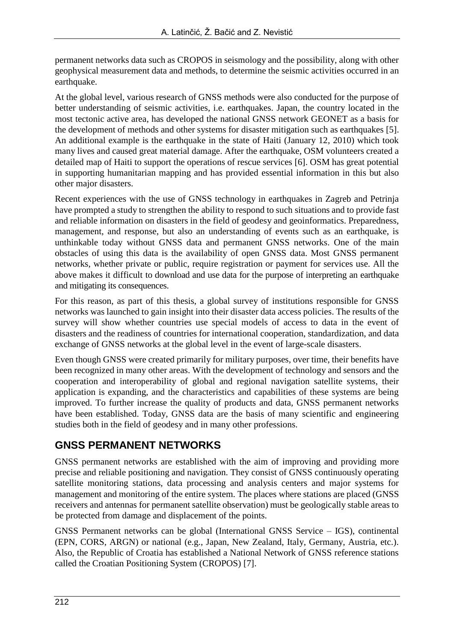permanent networks data such as CROPOS in seismology and the possibility, along with other geophysical measurement data and methods, to determine the seismic activities occurred in an earthquake.

At the global level, various research of GNSS methods were also conducted for the purpose of better understanding of seismic activities, i.e. earthquakes. Japan, the country located in the most tectonic active area, has developed the national GNSS network GEONET as a basis for the development of methods and other systems for disaster mitigation such as earthquakes [5]. An additional example is the earthquake in the state of Haiti (January 12, 2010) which took many lives and caused great material damage. After the earthquake, OSM volunteers created a detailed map of Haiti to support the operations of rescue services [6]. OSM has great potential in supporting humanitarian mapping and has provided essential information in this but also other major disasters.

Recent experiences with the use of GNSS technology in earthquakes in Zagreb and Petrinja have prompted a study to strengthen the ability to respond to such situations and to provide fast and reliable information on disasters in the field of geodesy and geoinformatics. Preparedness, management, and response, but also an understanding of events such as an earthquake, is unthinkable today without GNSS data and permanent GNSS networks. One of the main obstacles of using this data is the availability of open GNSS data. Most GNSS permanent networks, whether private or public, require registration or payment for services use. All the above makes it difficult to download and use data for the purpose of interpreting an earthquake and mitigating its consequences.

For this reason, as part of this thesis, a global survey of institutions responsible for GNSS networks was launched to gain insight into their disaster data access policies. The results of the survey will show whether countries use special models of access to data in the event of disasters and the readiness of countries for international cooperation, standardization, and data exchange of GNSS networks at the global level in the event of large-scale disasters.

Even though GNSS were created primarily for military purposes, over time, their benefits have been recognized in many other areas. With the development of technology and sensors and the cooperation and interoperability of global and regional navigation satellite systems, their application is expanding, and the characteristics and capabilities of these systems are being improved. To further increase the quality of products and data, GNSS permanent networks have been established. Today, GNSS data are the basis of many scientific and engineering studies both in the field of geodesy and in many other professions.

# **GNSS PERMANENT NETWORKS**

GNSS permanent networks are established with the aim of improving and providing more precise and reliable positioning and navigation. They consist of GNSS continuously operating satellite monitoring stations, data processing and analysis centers and major systems for management and monitoring of the entire system. The places where stations are placed (GNSS receivers and antennas for permanent satellite observation) must be geologically stable areas to be protected from damage and displacement of the points.

GNSS Permanent networks can be global (International GNSS Service – IGS), continental (EPN, CORS, ARGN) or national (e.g., Japan, New Zealand, Italy, Germany, Austria, etc.). Also, the Republic of Croatia has established a National Network of GNSS reference stations called the Croatian Positioning System (CROPOS) [7].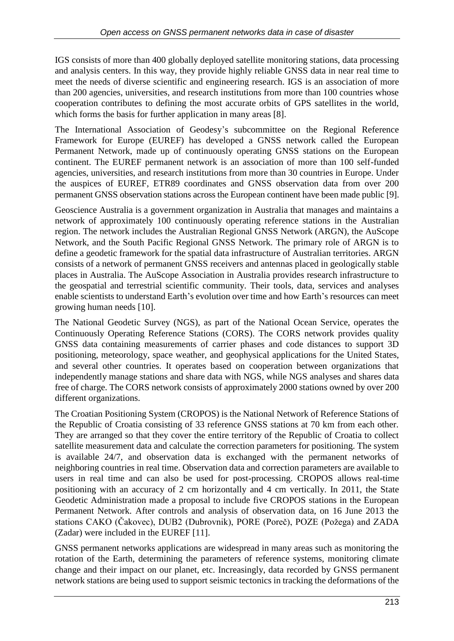IGS consists of more than 400 globally deployed satellite monitoring stations, data processing and analysis centers. In this way, they provide highly reliable GNSS data in near real time to meet the needs of diverse scientific and engineering research. IGS is an association of more than 200 agencies, universities, and research institutions from more than 100 countries whose cooperation contributes to defining the most accurate orbits of GPS satellites in the world, which forms the basis for further application in many areas [8].

The International Association of Geodesy's subcommittee on the Regional Reference Framework for Europe (EUREF) has developed a GNSS network called the European Permanent Network, made up of continuously operating GNSS stations on the European continent. The EUREF permanent network is an association of more than 100 self-funded agencies, universities, and research institutions from more than 30 countries in Europe. Under the auspices of EUREF, ETR89 coordinates and GNSS observation data from over 200 permanent GNSS observation stations across the European continent have been made public [9].

Geoscience Australia is a government organization in Australia that manages and maintains a network of approximately 100 continuously operating reference stations in the Australian region. The network includes the Australian Regional GNSS Network (ARGN), the AuScope Network, and the South Pacific Regional GNSS Network. The primary role of ARGN is to define a geodetic framework for the spatial data infrastructure of Australian territories. ARGN consists of a network of permanent GNSS receivers and antennas placed in geologically stable places in Australia. The AuScope Association in Australia provides research infrastructure to the geospatial and terrestrial scientific community. Their tools, data, services and analyses enable scientists to understand Earth's evolution over time and how Earth's resources can meet growing human needs [10].

The National Geodetic Survey (NGS), as part of the National Ocean Service, operates the Continuously Operating Reference Stations (CORS). The CORS network provides quality GNSS data containing measurements of carrier phases and code distances to support 3D positioning, meteorology, space weather, and geophysical applications for the United States, and several other countries. It operates based on cooperation between organizations that independently manage stations and share data with NGS, while NGS analyses and shares data free of charge. The CORS network consists of approximately 2000 stations owned by over 200 different organizations.

The Croatian Positioning System (CROPOS) is the National Network of Reference Stations of the Republic of Croatia consisting of 33 reference GNSS stations at 70 km from each other. They are arranged so that they cover the entire territory of the Republic of Croatia to collect satellite measurement data and calculate the correction parameters for positioning. The system is available 24/7, and observation data is exchanged with the permanent networks of neighboring countries in real time. Observation data and correction parameters are available to users in real time and can also be used for post-processing. CROPOS allows real-time positioning with an accuracy of 2 cm horizontally and 4 cm vertically. In 2011, the State Geodetic Administration made a proposal to include five CROPOS stations in the European Permanent Network. After controls and analysis of observation data, on 16 June 2013 the stations CAKO (Čakovec), DUB2 (Dubrovnik), PORE (Poreč), POZE (Požega) and ZADA (Zadar) were included in the EUREF [11].

GNSS permanent networks applications are widespread in many areas such as monitoring the rotation of the Earth, determining the parameters of reference systems, monitoring climate change and their impact on our planet, etc. Increasingly, data recorded by GNSS permanent network stations are being used to support seismic tectonics in tracking the deformations of the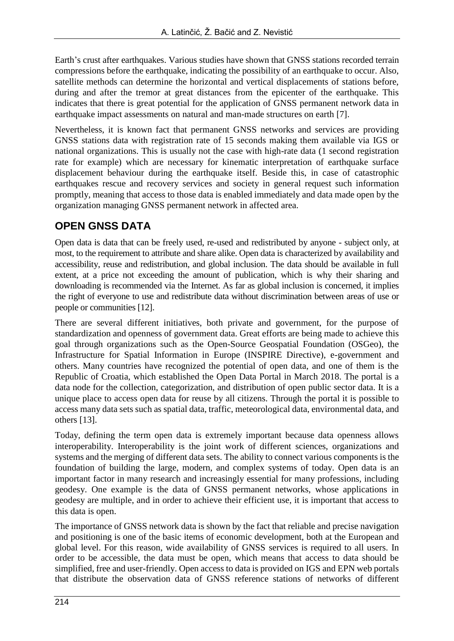Earth's crust after earthquakes. Various studies have shown that GNSS stations recorded terrain compressions before the earthquake, indicating the possibility of an earthquake to occur. Also, satellite methods can determine the horizontal and vertical displacements of stations before, during and after the tremor at great distances from the epicenter of the earthquake. This indicates that there is great potential for the application of GNSS permanent network data in earthquake impact assessments on natural and man-made structures on earth [7].

Nevertheless, it is known fact that permanent GNSS networks and services are providing GNSS stations data with registration rate of 15 seconds making them available via IGS or national organizations. This is usually not the case with high-rate data (1 second registration rate for example) which are necessary for kinematic interpretation of earthquake surface displacement behaviour during the earthquake itself. Beside this, in case of catastrophic earthquakes rescue and recovery services and society in general request such information promptly, meaning that access to those data is enabled immediately and data made open by the organization managing GNSS permanent network in affected area.

# **OPEN GNSS DATA**

Open data is data that can be freely used, re-used and redistributed by anyone - subject only, at most, to the requirement to attribute and share alike. Open data is characterized by availability and accessibility, reuse and redistribution, and global inclusion. The data should be available in full extent, at a price not exceeding the amount of publication, which is why their sharing and downloading is recommended via the Internet. As far as global inclusion is concerned, it implies the right of everyone to use and redistribute data without discrimination between areas of use or people or communities [12].

There are several different initiatives, both private and government, for the purpose of standardization and openness of government data. Great efforts are being made to achieve this goal through organizations such as the Open-Source Geospatial Foundation (OSGeo), the Infrastructure for Spatial Information in Europe (INSPIRE Directive), e-government and others. Many countries have recognized the potential of open data, and one of them is the Republic of Croatia, which established the Open Data Portal in March 2018. The portal is a data node for the collection, categorization, and distribution of open public sector data. It is a unique place to access open data for reuse by all citizens. Through the portal it is possible to access many data sets such as spatial data, traffic, meteorological data, environmental data, and others [13].

Today, defining the term open data is extremely important because data openness allows interoperability. Interoperability is the joint work of different sciences, organizations and systems and the merging of different data sets. The ability to connect various components is the foundation of building the large, modern, and complex systems of today. Open data is an important factor in many research and increasingly essential for many professions, including geodesy. One example is the data of GNSS permanent networks, whose applications in geodesy are multiple, and in order to achieve their efficient use, it is important that access to this data is open.

The importance of GNSS network data is shown by the fact that reliable and precise navigation and positioning is one of the basic items of economic development, both at the European and global level. For this reason, wide availability of GNSS services is required to all users. In order to be accessible, the data must be open, which means that access to data should be simplified, free and user-friendly. Open access to data is provided on IGS and EPN web portals that distribute the observation data of GNSS reference stations of networks of different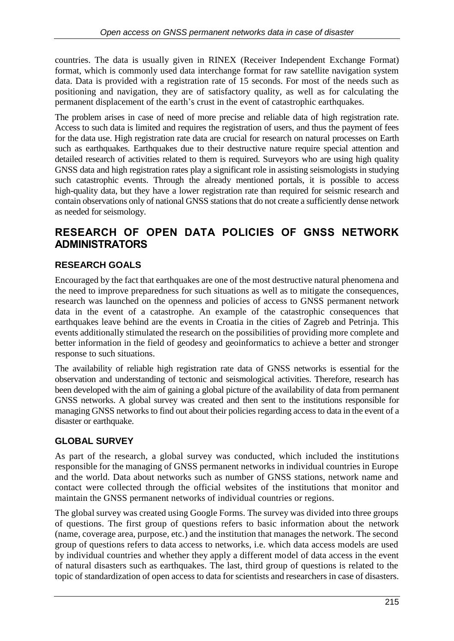countries. The data is usually given in RINEX (Receiver Independent Exchange Format) format, which is commonly used data interchange format for raw satellite navigation system data. Data is provided with a registration rate of 15 seconds. For most of the needs such as positioning and navigation, they are of satisfactory quality, as well as for calculating the permanent displacement of the earth's crust in the event of catastrophic earthquakes.

The problem arises in case of need of more precise and reliable data of high registration rate. Access to such data is limited and requires the registration of users, and thus the payment of fees for the data use. High registration rate data are crucial for research on natural processes on Earth such as earthquakes. Earthquakes due to their destructive nature require special attention and detailed research of activities related to them is required. Surveyors who are using high quality GNSS data and high registration rates play a significant role in assisting seismologists in studying such catastrophic events. Through the already mentioned portals, it is possible to access high-quality data, but they have a lower registration rate than required for seismic research and contain observations only of national GNSS stations that do not create a sufficiently dense network as needed for seismology.

## **RESEARCH OF OPEN DATA POLICIES OF GNSS NETWORK ADMINISTRATORS**

#### **RESEARCH GOALS**

Encouraged by the fact that earthquakes are one of the most destructive natural phenomena and the need to improve preparedness for such situations as well as to mitigate the consequences, research was launched on the openness and policies of access to GNSS permanent network data in the event of a catastrophe. An example of the catastrophic consequences that earthquakes leave behind are the events in Croatia in the cities of Zagreb and Petrinja. This events additionally stimulated the research on the possibilities of providing more complete and better information in the field of geodesy and geoinformatics to achieve a better and stronger response to such situations.

The availability of reliable high registration rate data of GNSS networks is essential for the observation and understanding of tectonic and seismological activities. Therefore, research has been developed with the aim of gaining a global picture of the availability of data from permanent GNSS networks. A global survey was created and then sent to the institutions responsible for managing GNSS networks to find out about their policies regarding access to data in the event of a disaster or earthquake.

#### **GLOBAL SURVEY**

As part of the research, a global survey was conducted, which included the institutions responsible for the managing of GNSS permanent networks in individual countries in Europe and the world. Data about networks such as number of GNSS stations, network name and contact were collected through the official websites of the institutions that monitor and maintain the GNSS permanent networks of individual countries or regions.

The global survey was created using Google Forms. The survey was divided into three groups of questions. The first group of questions refers to basic information about the network (name, coverage area, purpose, etc.) and the institution that manages the network. The second group of questions refers to data access to networks, i.e. which data access models are used by individual countries and whether they apply a different model of data access in the event of natural disasters such as earthquakes. The last, third group of questions is related to the topic of standardization of open access to data for scientists and researchers in case of disasters.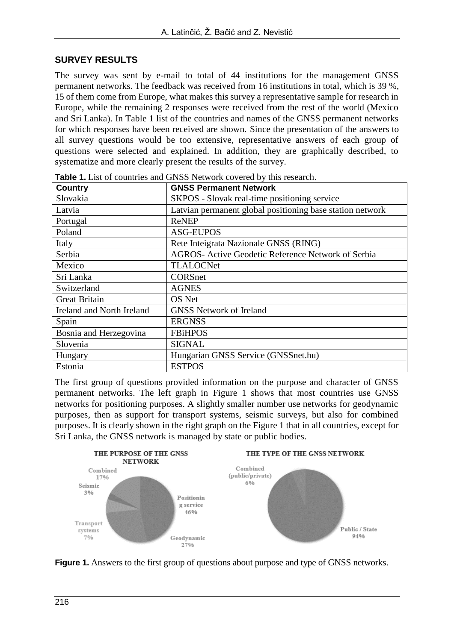#### **SURVEY RESULTS**

The survey was sent by e-mail to total of 44 institutions for the management GNSS permanent networks. The feedback was received from 16 institutions in total, which is 39 %, 15 of them come from Europe, what makes this survey a representative sample for research in Europe, while the remaining 2 responses were received from the rest of the world (Mexico and Sri Lanka). In Table 1 list of the countries and names of the GNSS permanent networks for which responses have been received are shown. Since the presentation of the answers to all survey questions would be too extensive, representative answers of each group of questions were selected and explained. In addition, they are graphically described, to systematize and more clearly present the results of the survey.

| <b>Country</b>            | <b>GNSS Permanent Network</b>                             |
|---------------------------|-----------------------------------------------------------|
| Slovakia                  | SKPOS - Slovak real-time positioning service              |
| Latvia                    | Latvian permanent global positioning base station network |
| Portugal                  | <b>ReNEP</b>                                              |
| Poland                    | <b>ASG-EUPOS</b>                                          |
| Italy                     | Rete Inteigrata Nazionale GNSS (RING)                     |
| Serbia                    | AGROS- Active Geodetic Reference Network of Serbia        |
| Mexico                    | <b>TLALOCNet</b>                                          |
| Sri Lanka                 | <b>CORSnet</b>                                            |
| Switzerland               | <b>AGNES</b>                                              |
| <b>Great Britain</b>      | OS Net                                                    |
| Ireland and North Ireland | <b>GNSS Network of Ireland</b>                            |
| Spain                     | <b>ERGNSS</b>                                             |
| Bosnia and Herzegovina    | <b>FBiHPOS</b>                                            |
| Slovenia                  | <b>SIGNAL</b>                                             |
| Hungary                   | Hungarian GNSS Service (GNSSnet.hu)                       |
| Estonia                   | <b>ESTPOS</b>                                             |

**Table 1.** List of countries and GNSS Network covered by this research.

The first group of questions provided information on the purpose and character of GNSS permanent networks. The left graph in Figure 1 shows that most countries use GNSS networks for positioning purposes. A slightly smaller number use networks for geodynamic purposes, then as support for transport systems, seismic surveys, but also for combined purposes. It is clearly shown in the right graph on the Figure 1 that in all countries, except for Sri Lanka, the GNSS network is managed by state or public bodies.



**Figure 1.** Answers to the first group of questions about purpose and type of GNSS networks.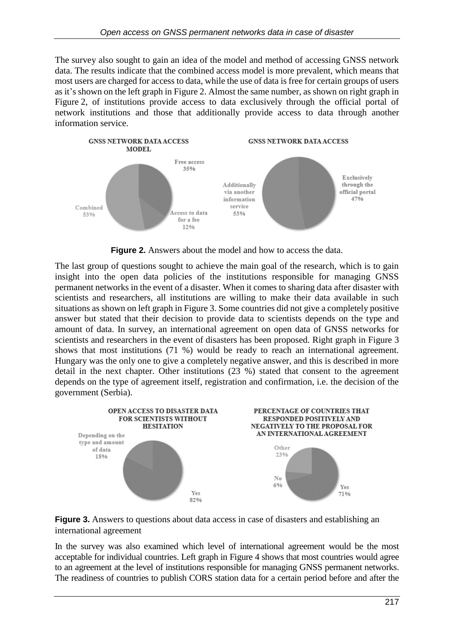The survey also sought to gain an idea of the model and method of accessing GNSS network data. The results indicate that the combined access model is more prevalent, which means that most users are charged for access to data, while the use of data is free for certain groups of users as it's shown on the left graph in Figure 2. Almost the same number, as shown on right graph in Figure 2, of institutions provide access to data exclusively through the official portal of network institutions and those that additionally provide access to data through another information service.



**Figure 2.** Answers about the model and how to access the data.

The last group of questions sought to achieve the main goal of the research, which is to gain insight into the open data policies of the institutions responsible for managing GNSS permanent networks in the event of a disaster. When it comes to sharing data after disaster with scientists and researchers, all institutions are willing to make their data available in such situations as shown on left graph in Figure 3. Some countries did not give a completely positive answer but stated that their decision to provide data to scientists depends on the type and amount of data. In survey, an international agreement on open data of GNSS networks for scientists and researchers in the event of disasters has been proposed. Right graph in Figure 3 shows that most institutions (71 %) would be ready to reach an international agreement. Hungary was the only one to give a completely negative answer, and this is described in more detail in the next chapter. Other institutions (23 %) stated that consent to the agreement depends on the type of agreement itself, registration and confirmation, i.e. the decision of the government (Serbia).





In the survey was also examined which level of international agreement would be the most acceptable for individual countries. Left graph in Figure 4 shows that most countries would agree to an agreement at the level of institutions responsible for managing GNSS permanent networks. The readiness of countries to publish CORS station data for a certain period before and after the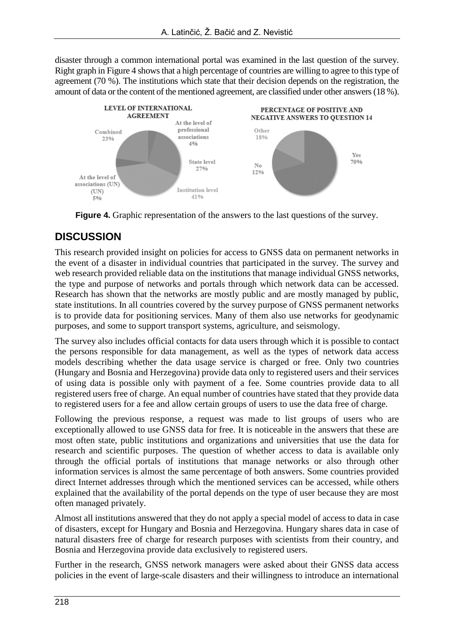disaster through a common international portal was examined in the last question of the survey. Right graph in Figure 4 shows that a high percentage of countries are willing to agree to this type of agreement (70 %). The institutions which state that their decision depends on the registration, the amount of data or the content of the mentioned agreement, are classified under other answers (18 %).



**Figure 4.** Graphic representation of the answers to the last questions of the survey.

# **DISCUSSION**

This research provided insight on policies for access to GNSS data on permanent networks in the event of a disaster in individual countries that participated in the survey. The survey and web research provided reliable data on the institutions that manage individual GNSS networks, the type and purpose of networks and portals through which network data can be accessed. Research has shown that the networks are mostly public and are mostly managed by public, state institutions. In all countries covered by the survey purpose of GNSS permanent networks is to provide data for positioning services. Many of them also use networks for geodynamic purposes, and some to support transport systems, agriculture, and seismology.

The survey also includes official contacts for data users through which it is possible to contact the persons responsible for data management, as well as the types of network data access models describing whether the data usage service is charged or free. Only two countries (Hungary and Bosnia and Herzegovina) provide data only to registered users and their services of using data is possible only with payment of a fee. Some countries provide data to all registered users free of charge. An equal number of countries have stated that they provide data to registered users for a fee and allow certain groups of users to use the data free of charge.

Following the previous response, a request was made to list groups of users who are exceptionally allowed to use GNSS data for free. It is noticeable in the answers that these are most often state, public institutions and organizations and universities that use the data for research and scientific purposes. The question of whether access to data is available only through the official portals of institutions that manage networks or also through other information services is almost the same percentage of both answers. Some countries provided direct Internet addresses through which the mentioned services can be accessed, while others explained that the availability of the portal depends on the type of user because they are most often managed privately.

Almost all institutions answered that they do not apply a special model of access to data in case of disasters, except for Hungary and Bosnia and Herzegovina. Hungary shares data in case of natural disasters free of charge for research purposes with scientists from their country, and Bosnia and Herzegovina provide data exclusively to registered users.

Further in the research, GNSS network managers were asked about their GNSS data access policies in the event of large-scale disasters and their willingness to introduce an international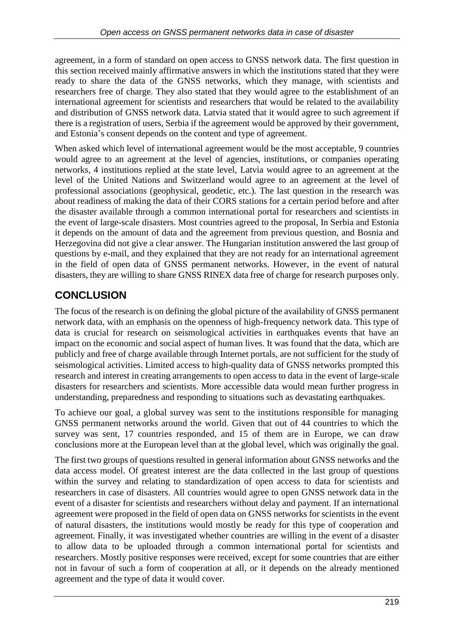agreement, in a form of standard on open access to GNSS network data. The first question in this section received mainly affirmative answers in which the institutions stated that they were ready to share the data of the GNSS networks, which they manage, with scientists and researchers free of charge. They also stated that they would agree to the establishment of an international agreement for scientists and researchers that would be related to the availability and distribution of GNSS network data. Latvia stated that it would agree to such agreement if there is a registration of users, Serbia if the agreement would be approved by their government, and Estonia's consent depends on the content and type of agreement.

When asked which level of international agreement would be the most acceptable, 9 countries would agree to an agreement at the level of agencies, institutions, or companies operating networks, 4 institutions replied at the state level, Latvia would agree to an agreement at the level of the United Nations and Switzerland would agree to an agreement at the level of professional associations (geophysical, geodetic, etc.). The last question in the research was about readiness of making the data of their CORS stations for a certain period before and after the disaster available through a common international portal for researchers and scientists in the event of large-scale disasters. Most countries agreed to the proposal, In Serbia and Estonia it depends on the amount of data and the agreement from previous question, and Bosnia and Herzegovina did not give a clear answer. The Hungarian institution answered the last group of questions by e-mail, and they explained that they are not ready for an international agreement in the field of open data of GNSS permanent networks. However, in the event of natural disasters, they are willing to share GNSS RINEX data free of charge for research purposes only.

# **CONCLUSION**

The focus of the research is on defining the global picture of the availability of GNSS permanent network data, with an emphasis on the openness of high-frequency network data. This type of data is crucial for research on seismological activities in earthquakes events that have an impact on the economic and social aspect of human lives. It was found that the data, which are publicly and free of charge available through Internet portals, are not sufficient for the study of seismological activities. Limited access to high-quality data of GNSS networks prompted this research and interest in creating arrangements to open access to data in the event of large-scale disasters for researchers and scientists. More accessible data would mean further progress in understanding, preparedness and responding to situations such as devastating earthquakes.

To achieve our goal, a global survey was sent to the institutions responsible for managing GNSS permanent networks around the world. Given that out of 44 countries to which the survey was sent, 17 countries responded, and 15 of them are in Europe, we can draw conclusions more at the European level than at the global level, which was originally the goal.

The first two groups of questions resulted in general information about GNSS networks and the data access model. Of greatest interest are the data collected in the last group of questions within the survey and relating to standardization of open access to data for scientists and researchers in case of disasters. All countries would agree to open GNSS network data in the event of a disaster for scientists and researchers without delay and payment. If an international agreement were proposed in the field of open data on GNSS networks for scientists in the event of natural disasters, the institutions would mostly be ready for this type of cooperation and agreement. Finally, it was investigated whether countries are willing in the event of a disaster to allow data to be uploaded through a common international portal for scientists and researchers. Mostly positive responses were received, except for some countries that are either not in favour of such a form of cooperation at all, or it depends on the already mentioned agreement and the type of data it would cover.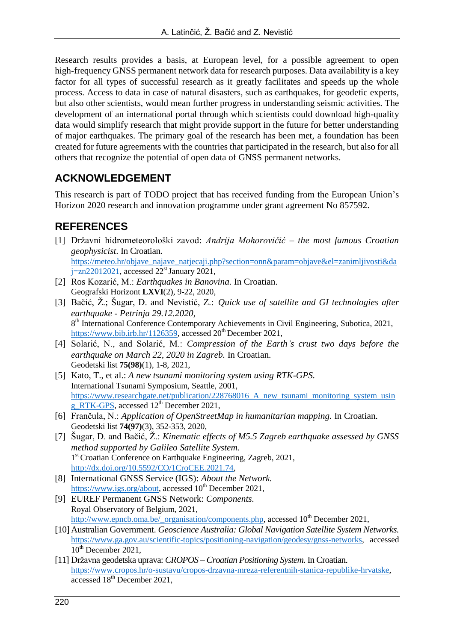Research results provides a basis, at European level, for a possible agreement to open high-frequency GNSS permanent network data for research purposes. Data availability is a key factor for all types of successful research as it greatly facilitates and speeds up the whole process. Access to data in case of natural disasters, such as earthquakes, for geodetic experts, but also other scientists, would mean further progress in understanding seismic activities. The development of an international portal through which scientists could download high-quality data would simplify research that might provide support in the future for better understanding of major earthquakes. The primary goal of the research has been met, a foundation has been created for future agreements with the countries that participated in the research, but also for all others that recognize the potential of open data of GNSS permanent networks.

### **ACKNOWLEDGEMENT**

This research is part of TODO project that has received funding from the European Union's Horizon 2020 research and innovation programme under grant agreement No 857592.

# **REFERENCES**

- [1] Državni hidrometeorološki zavod: *Andrija Mohorovičić – the most famous Croatian geophysicist.* In Croatian. [https://meteo.hr/objave\\_najave\\_natjecaji.php?section=onn&param=objave&el=zanimljivosti&da](https://meteo.hr/objave_najave_natjecaji.php?section=onn¶m=objave&el=zanimljivosti&daj=zn22012021)  $j=zn22012021$ , accessed  $22<sup>st</sup>$  January 2021,
- [2] Ros Kozarić, M.: *Earthquakes in Banovina.* In Croatian. Geografski Horizont **LXVI**(2), 9-22, 2020,
- [3] Bačić, Ž.; Šugar, D. and Nevistić, Z.: *Quick use of satellite and GI technologies after earthquake - Petrinja 29.12.2020,* 8<sup>th</sup> International Conference Contemporary Achievements in Civil Engineering, Subotica, 2021, [https://www.bib.irb.hr/1126359,](https://www.bib.irb.hr/1126359) accessed 20<sup>th</sup> December 2021,
- [4] Solarić, N., and Solarić, M.: *Compression of the Earth's crust two days before the earthquake on March 22, 2020 in Zagreb.* In Croatian. Geodetski list **75(98)**(1), 1-8, 2021,
- [5] Kato, T., et al.: *A new tsunami monitoring system using RTK-GPS.* International Tsunami Symposium, Seattle, 2001, https://www.researchgate.net/publication/228768016 A new tsunami monitoring system usin [g\\_RTK-GPS,](https://www.researchgate.net/publication/228768016_A_new_tsunami_monitoring_system_using_RTK-GPS) accessed  $12<sup>th</sup>$  December 2021,
- [6] Frančula, N.: *Application of OpenStreetMap in humanitarian mapping.* In Croatian. Geodetski list **74(97)**(3), 352-353, 2020,
- [7] Šugar, D. and Bačić, Ž.: *Kinematic effects of M5.5 Zagreb earthquake assessed by GNSS method supported by Galileo Satellite System.* 1 st Croatian Conference on Earthquake Engineering, Zagreb, 2021, [http://dx.doi.org/10.5592/CO/1CroCEE.2021.74,](http://dx.doi.org/10.5592/CO/1CroCEE.2021.74)
- [8] International GNSS Service (IGS): *About the Network.* [https://www.igs.org/about,](https://www.igs.org/about) accessed 10<sup>th</sup> December 2021,
- [9] EUREF Permanent GNSS Network: *Components.* Royal Observatory of Belgium, 2021, [http://www.epncb.oma.be/\\_organisation/components.php,](http://www.epncb.oma.be/_organisation/components.php) accessed 10<sup>th</sup> December 2021,
- [10] Australian Government. *Geoscience Australia: Global Navigation Satellite System Networks.* [https://www.ga.gov.au/scientific-topics/positioning-navigation/geodesy/gnss-networks,](https://www.ga.gov.au/scientific-topics/positioning-navigation/geodesy/gnss-networks) accessed 10<sup>th</sup> December 2021,
- [11] Državna geodetska uprava: *CROPOS – Croatian Positioning System.* In Croatian. [https://www.cropos.hr/o-sustavu/cropos-drzavna-mreza-referentnih-stanica-republike-hrvatske,](https://www.cropos.hr/o-sustavu/cropos-drzavna-mreza-referentnih-stanica-republike-hrvatske) accessed 18<sup>th</sup> December 2021,